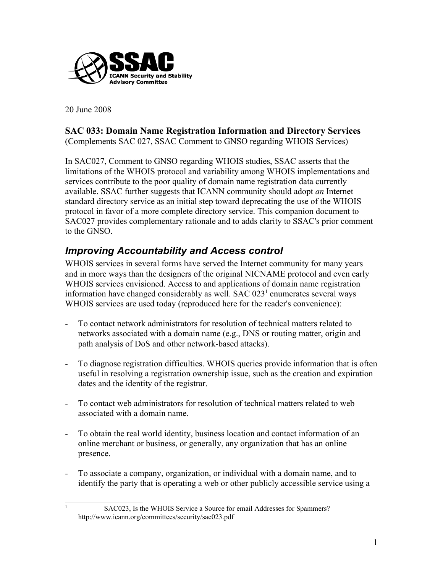

20 June 2008

<span id="page-0-0"></span>1

## **SAC 033: Domain Name Registration Information and Directory Services**

(Complements SAC 027, SSAC Comment to GNSO regarding WHOIS Services)

In SAC027, Comment to GNSO regarding WHOIS studies, SSAC asserts that the limitations of the WHOIS protocol and variability among WHOIS implementations and services contribute to the poor quality of domain name registration data currently available. SSAC further suggests that ICANN community should adopt *an* Internet standard directory service as an initial step toward deprecating the use of the WHOIS protocol in favor of a more complete directory service. This companion document to SAC027 provides complementary rationale and to adds clarity to SSAC's prior comment to the GNSO.

#### *Improving Accountability and Access control*

WHOIS services in several forms have served the Internet community for many years and in more ways than the designers of the original NICNAME protocol and even early WHOIS services envisioned. Access to and applications of domain name registration information have changed considerably as well. SAC 023<sup>[1](#page-0-0)</sup> enumerates several ways WHOIS services are used today (reproduced here for the reader's convenience):

- To contact network administrators for resolution of technical matters related to networks associated with a domain name (e.g., DNS or routing matter, origin and path analysis of DoS and other network-based attacks).
- To diagnose registration difficulties. WHOIS queries provide information that is often useful in resolving a registration ownership issue, such as the creation and expiration dates and the identity of the registrar.
- To contact web administrators for resolution of technical matters related to web associated with a domain name.
- To obtain the real world identity, business location and contact information of an online merchant or business, or generally, any organization that has an online presence.
- To associate a company, organization, or individual with a domain name, and to identify the party that is operating a web or other publicly accessible service using a
	- SAC023, Is the WHOIS Service a Source for email Addresses for Spammers? http://www.icann.org/committees/security/sac023.pdf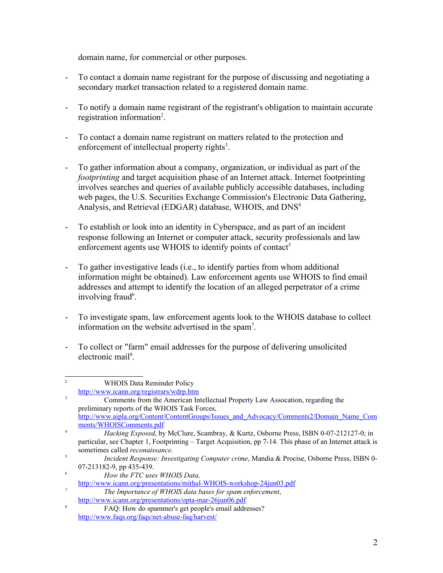domain name, for commercial or other purposes.

- To contact a domain name registrant for the purpose of discussing and negotiating a secondary market transaction related to a registered domain name.
- To notify a domain name registrant of the registrant's obligation to maintain accurate registration information<sup>[2](#page-1-0)</sup>.
- To contact a domain name registrant on matters related to the protection and enforcement of intellectual property rights<sup>[3](#page-1-1)</sup>.
- To gather information about a company, organization, or individual as part of the *footprinting* and target acquisition phase of an Internet attack. Internet footprinting involves searches and queries of available publicly accessible databases, including web pages, the U.S. Securities Exchange Commission's Electronic Data Gathering, Analysis, and Retrieval (EDGAR) database, WHOIS, and DNS [4](#page-1-2)
- To establish or look into an identity in Cyberspace, and as part of an incident response following an Internet or computer attack, security professionals and law enforcement agents use WHOIS to identify points of contact<sup>[5](#page-1-3)</sup>
- To gather investigative leads (i.e., to identify parties from whom additional information might be obtained). Law enforcement agents use WHOIS to find email addresses and attempt to identify the location of an alleged perpetrator of a crime involving fraud<sup>[6](#page-1-4)</sup>.
- To investigate spam, law enforcement agents look to the WHOIS database to collect information on the website advertised in the spam [7](#page-1-5) .
- To collect or "farm" email addresses for the purpose of delivering unsolicited electronic mail<sup>[8](#page-1-6)</sup>.

<span id="page-1-0"></span><sup>&</sup>lt;sup>2</sup> WHOIS Data Reminder Policy <http://www.icann.org/registrars/wdrp.htm>

<span id="page-1-1"></span><sup>3</sup> Comments from the American Intellectual Property Law Assocation, regarding the preliminary reports of the WHOIS Task Forces, [http://www.aipla.org/Content/ContentGroups/Issues\\_and\\_Advocacy/Comments2/Domain\\_Name\\_Com](http://www.aipla.org/Content/ContentGroups/Issues_and_Advocacy/Comments2/Domain_Name_Comments/WhoisComments.pdf) [ments/WHOISComments.pdf](http://www.aipla.org/Content/ContentGroups/Issues_and_Advocacy/Comments2/Domain_Name_Comments/WhoisComments.pdf)

<span id="page-1-2"></span><sup>4</sup>  *Hacking Exposed*, by McClure, Scambray, & Kurtz, Osborne Press, ISBN 0-07-212127-0; in particular, see Chapter 1, Footprinting – Target Acquisition, pp 7-14. This phase of an Internet attack is sometimes called *reconaissance*.

<span id="page-1-3"></span><sup>5</sup> *Incident Response: Investigating Computer crime*, Mandia & Procise, Osborne Press, ISBN 0- 07-213182-9, pp 435-439.

<span id="page-1-4"></span><sup>6</sup> *How the FTC uses WHOIS Data,* 

[http://www.icann.org/presentations/mithal-WHOIS-workshop-24jun03.pdf](http://www.icann.org/presentations/mithal-whois-workshop-24jun03.pdf)

<span id="page-1-5"></span><sup>7</sup> *The Importance of WHOIS data bases for spam enforcement*, <http://www.icann.org/presentations/opta-mar-26jun06.pdf>

<span id="page-1-6"></span> $8 \overline{FAQ}$ : How do spammer's get people's email addresses? <http://www.faqs.org/faqs/net-abuse-faq/harvest/>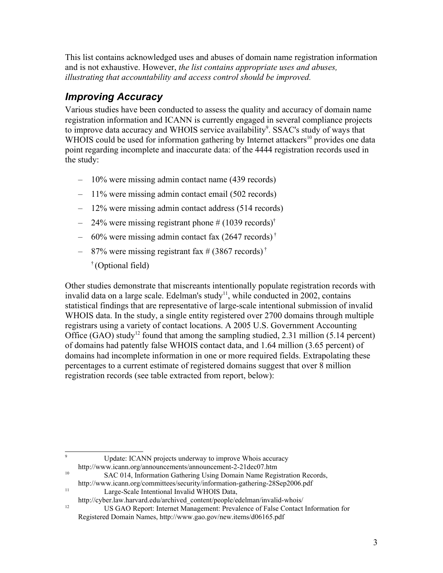This list contains acknowledged uses and abuses of domain name registration information and is not exhaustive. However, *the list contains appropriate uses and abuses, illustrating that accountability and access control should be improved.*

#### *Improving Accuracy*

Various studies have been conducted to assess the quality and accuracy of domain name registration information and ICANN is currently engaged in several compliance projects to improve data accuracy and WHOIS service availability<sup>[9](#page-2-0)</sup>. SSAC's study of ways that WHOIS could be used for information gathering by Internet attackers<sup>[10](#page-2-1)</sup> provides one data point regarding incomplete and inaccurate data: of the 4444 registration records used in the study:

- 10% were missing admin contact name (439 records)
- 11% were missing admin contact email (502 records)
- 12% were missing admin contact address (514 records)
- $-$  24% were missing registrant phone # (1039 records)<sup>†</sup>
- $-$  60% were missing admin contact fax (2647 records)<sup>†</sup>
- $-$  87% were missing registrant fax # (3867 records)<sup>†</sup>
	- † (Optional field)

Other studies demonstrate that miscreants intentionally populate registration records with invalid data on a large scale. Edelman's study<sup>[11](#page-2-2)</sup>, while conducted in 2002, contains statistical findings that are representative of large-scale intentional submission of invalid WHOIS data. In the study, a single entity registered over 2700 domains through multiple registrars using a variety of contact locations. A 2005 U.S. Government Accounting Office (GAO) study<sup>[12](#page-2-3)</sup> found that among the sampling studied, 2.31 million (5.14 percent) of domains had patently false WHOIS contact data, and 1.64 million (3.65 percent) of domains had incomplete information in one or more required fields. Extrapolating these percentages to a current estimate of registered domains suggest that over 8 million registration records (see table extracted from report, below):

<span id="page-2-0"></span><sup>9</sup> Update: ICANN projects underway to improve Whois accuracy

- http://www.icann.org/announcements/announcement-2-21dec07.htm
- <span id="page-2-1"></span><sup>10</sup> SAC 014, Information Gathering Using Domain Name Registration Records, http://www.icann.org/committees/security/information-gathering-28Sep2006.pdf
- <span id="page-2-2"></span><sup>11</sup> Large-Scale Intentional Invalid WHOIS Data,
- http://cyber.law.harvard.edu/archived\_content/people/edelman/invalid-whois/

<span id="page-2-3"></span><sup>&</sup>lt;sup>12</sup><br>US GAO Report: Internet Management: Prevalence of False Contact Information for Registered Domain Names, http://www.gao.gov/new.items/d06165.pdf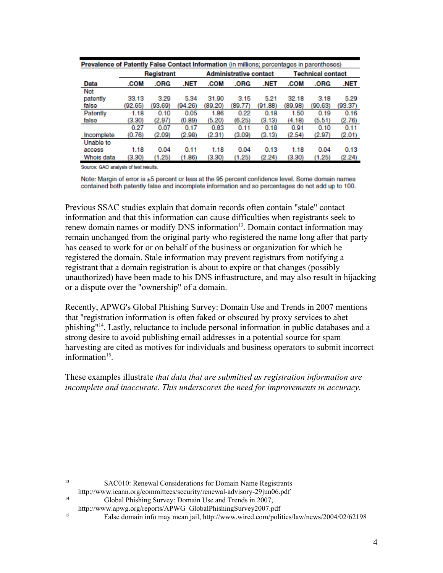| Prevalence of Patently False Contact Information (in millions: percentages in parentheses) |            |         |         |                               |         |         |                          |         |         |
|--------------------------------------------------------------------------------------------|------------|---------|---------|-------------------------------|---------|---------|--------------------------|---------|---------|
|                                                                                            | Registrant |         |         | <b>Administrative contact</b> |         |         | <b>Technical contact</b> |         |         |
| Data                                                                                       | .COM       | .ORG    | .NET    | .COM                          | .ORG    | .NET    | .COM                     | .ORG    | .NET    |
| Not                                                                                        |            |         |         |                               |         |         |                          |         |         |
| patently                                                                                   | 33.13      | 3.29    | 5.34    | 31.90                         | 3.15    | 5.21    | 32.18                    | 3.18    | 5.29    |
| false                                                                                      | (92.65)    | (93.69) | (94.26) | (89.20)                       | (89.77) | (91.88) | (89.98)                  | (90.63) | (93.37) |
| Patently                                                                                   | 1.18       | 0.10    | 0.05    | 1.86                          | 0.22    | 0.18    | 1.50                     | 0.19    | 0.16    |
| false                                                                                      | (3.30)     | (2.97)  | (0.89)  | (5.20)                        | (6.25)  | (3.13)  | (4.18)                   | (5.51)  | (2.76)  |
|                                                                                            | 0.27       | 0.07    | 0.17    | 0.83                          | 0.11    | 0.18    | 0.91                     | 0.10    | 0.11    |
| Incomplete                                                                                 | (0.76)     | (2.09)  | (2.98)  | (2.31)                        | (3.09)  | (3.13)  | (2.54)                   | (2.97)  | (2.01)  |
| Unable to                                                                                  |            |         |         |                               |         |         |                          |         |         |
| access                                                                                     | 1.18       | 0.04    | 0.11    | 1.18                          | 0.04    | 0.13    | 1.18                     | 0.04    | 0.13    |
| Whois data                                                                                 | (3.30)     | (1.25)  | (1.86)  | (3.30)                        | (1.25)  | (2.24)  | (3.30)                   | (1.25)  | (2.24)  |

Source: GAO analysis of test results.

Note: Margin of error is ±5 percent or less at the 95 percent confidence level. Some domain names contained both patently false and incomplete information and so percentages do not add up to 100.

Previous SSAC studies explain that domain records often contain "stale" contact information and that this information can cause difficulties when registrants seek to renew domain names or modify DNS information<sup>[13](#page-3-0)</sup>. Domain contact information may remain unchanged from the original party who registered the name long after that party has ceased to work for or on behalf of the business or organization for which he registered the domain. Stale information may prevent registrars from notifying a registrant that a domain registration is about to expire or that changes (possibly unauthorized) have been made to his DNS infrastructure, and may also result in hijacking or a dispute over the "ownership" of a domain.

Recently, APWG's Global Phishing Survey: Domain Use and Trends in 2007 mentions that "registration information is often faked or obscured by proxy services to abet phishing"[14](#page-3-1) . Lastly, reluctance to include personal information in public databases and a strong desire to avoid publishing email addresses in a potential source for spam harvesting are cited as motives for individuals and business operators to submit incorrect information<sup>[15](#page-3-2)</sup>.

These examples illustrate *that data that are submitted as registration information are incomplete and inaccurate. This underscores the need for improvements in accuracy.*

- <span id="page-3-0"></span><sup>13</sup> SAC010: Renewal Considerations for Domain Name Registrants
- http://www.icann.org/committees/security/renewal-advisory-29jun06.pdf <sup>14</sup> Global Phishing Survey: Domain Use and Trends in 2007,
	-

<span id="page-3-2"></span><span id="page-3-1"></span>http://www.apwg.org/reports/APWG\_GlobalPhishingSurvey2007.pdf

<sup>15</sup> False domain info may mean jail, http://www.wired.com/politics/law/news/2004/02/62198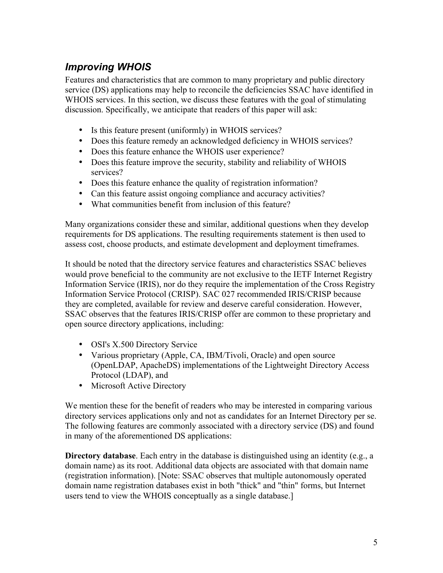### *Improving WHOIS*

Features and characteristics that are common to many proprietary and public directory service (DS) applications may help to reconcile the deficiencies SSAC have identified in WHOIS services. In this section, we discuss these features with the goal of stimulating discussion. Specifically, we anticipate that readers of this paper will ask:

- Is this feature present (uniformly) in WHOIS services?
- Does this feature remedy an acknowledged deficiency in WHOIS services?
- Does this feature enhance the WHOIS user experience?
- Does this feature improve the security, stability and reliability of WHOIS services?
- Does this feature enhance the quality of registration information?
- Can this feature assist ongoing compliance and accuracy activities?
- What communities benefit from inclusion of this feature?

Many organizations consider these and similar, additional questions when they develop requirements for DS applications. The resulting requirements statement is then used to assess cost, choose products, and estimate development and deployment timeframes.

It should be noted that the directory service features and characteristics SSAC believes would prove beneficial to the community are not exclusive to the IETF Internet Registry Information Service (IRIS), nor do they require the implementation of the Cross Registry Information Service Protocol (CRISP). SAC 027 recommended IRIS/CRISP because they are completed, available for review and deserve careful consideration. However, SSAC observes that the features IRIS/CRISP offer are common to these proprietary and open source directory applications, including:

- OSI's X.500 Directory Service
- Various proprietary (Apple, CA, IBM/Tivoli, Oracle) and open source (OpenLDAP, ApacheDS) implementations of the Lightweight Directory Access Protocol (LDAP), and
- Microsoft Active Directory

We mention these for the benefit of readers who may be interested in comparing various directory services applications only and not as candidates for an Internet Directory per se. The following features are commonly associated with a directory service (DS) and found in many of the aforementioned DS applications:

**Directory database**. Each entry in the database is distinguished using an identity (e.g., a domain name) as its root. Additional data objects are associated with that domain name (registration information). [Note: SSAC observes that multiple autonomously operated domain name registration databases exist in both "thick" and "thin" forms, but Internet users tend to view the WHOIS conceptually as a single database.]